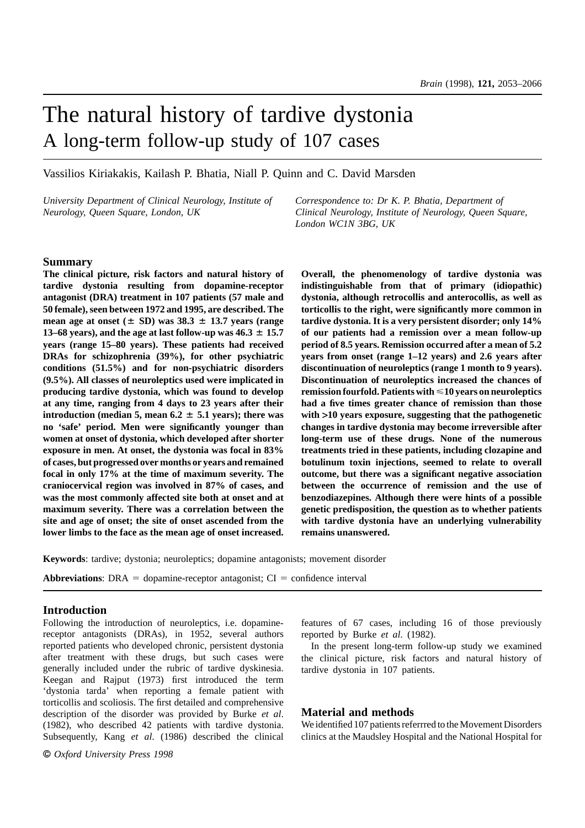# The natural history of tardive dystonia A long-term follow-up study of 107 cases

Vassilios Kiriakakis, Kailash P. Bhatia, Niall P. Quinn and C. David Marsden

*University Department of Clinical Neurology, Institute of Correspondence to: Dr K. P. Bhatia, Department of*

*Neurology, Queen Square, London, UK Clinical Neurology, Institute of Neurology, Queen Square, London WC1N 3BG, UK*

## **Summary**

**The clinical picture, risk factors and natural history of tardive dystonia resulting from dopamine-receptor antagonist (DRA) treatment in 107 patients (57 male and 50 female), seen between 1972 and 1995, are described. The mean age at onset (** $\pm$  **SD) was 38.3**  $\pm$  13.7 years (range **13–68 years), and the age at last follow-up was**  $46.3 \pm 15.7$ **years (range 15–80 years). These patients had received DRAs for schizophrenia (39%), for other psychiatric conditions (51.5%) and for non-psychiatric disorders (9.5%). All classes of neuroleptics used were implicated in producing tardive dystonia, which was found to develop at any time, ranging from 4 days to 23 years after their introduction (median 5, mean 6.2**  $\pm$  **5.1 years); there was no 'safe' period. Men were significantly younger than women at onset of dystonia, which developed after shorter exposure in men. At onset, the dystonia was focal in 83% of cases, but progressed over months or years and remained focal in only 17% at the time of maximum severity. The craniocervical region was involved in 87% of cases, and was the most commonly affected site both at onset and at maximum severity. There was a correlation between the site and age of onset; the site of onset ascended from the lower limbs to the face as the mean age of onset increased.**

**Overall, the phenomenology of tardive dystonia was indistinguishable from that of primary (idiopathic) dystonia, although retrocollis and anterocollis, as well as torticollis to the right, were significantly more common in tardive dystonia. It is a very persistent disorder; only 14% of our patients had a remission over a mean follow-up period of 8.5 years. Remission occurred after a mean of 5.2 years from onset (range 1–12 years) and 2.6 years after discontinuation of neuroleptics (range 1 month to 9 years). Discontinuation of neuroleptics increased the chances of remission fourfold. Patients with**  $\leq 10$  **years on neuroleptics had a five times greater chance of remission than those with >10 years exposure, suggesting that the pathogenetic changes in tardive dystonia may become irreversible after long-term use of these drugs. None of the numerous treatments tried in these patients, including clozapine and botulinum toxin injections, seemed to relate to overall outcome, but there was a significant negative association between the occurrence of remission and the use of benzodiazepines. Although there were hints of a possible genetic predisposition, the question as to whether patients with tardive dystonia have an underlying vulnerability remains unanswered.**

**Keywords**: tardive; dystonia; neuroleptics; dopamine antagonists; movement disorder

**Abbreviations:** DRA = dopamine-receptor antagonist;  $CI =$  confidence interval

# **Introduction**

Following the introduction of neuroleptics, i.e. dopaminereceptor antagonists (DRAs), in 1952, several authors reported patients who developed chronic, persistent dystonia after treatment with these drugs, but such cases were generally included under the rubric of tardive dyskinesia. Keegan and Rajput (1973) first introduced the term 'dystonia tarda' when reporting a female patient with torticollis and scoliosis. The first detailed and comprehensive description of the disorder was provided by Burke *et al*. (1982), who described 42 patients with tardive dystonia. Subsequently, Kang *et al*. (1986) described the clinical

© *Oxford University Press 1998*

features of 67 cases, including 16 of those previously reported by Burke *et al*. (1982).

In the present long-term follow-up study we examined the clinical picture, risk factors and natural history of tardive dystonia in 107 patients.

# **Material and methods**

We identified 107 patients referrred to the Movement Disorders clinics at the Maudsley Hospital and the National Hospital for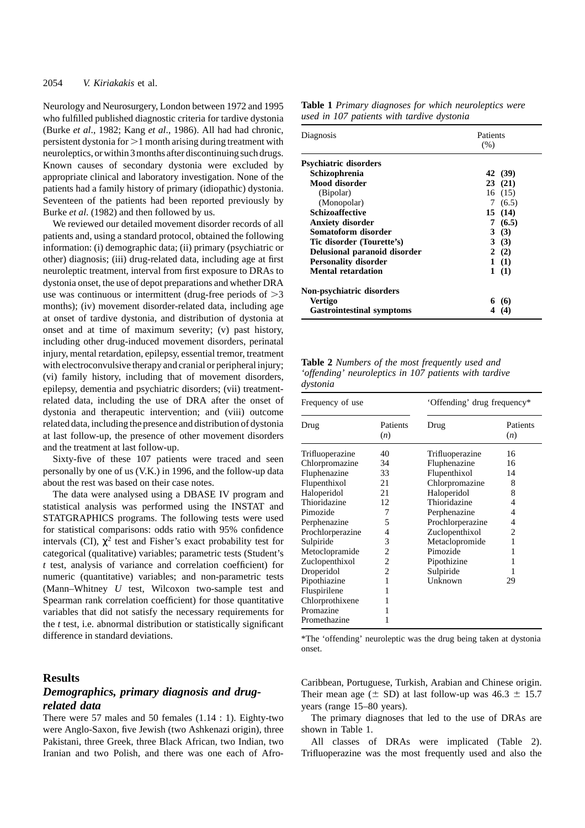Neurology and Neurosurgery, London between 1972 and 1995 who fulfilled published diagnostic criteria for tardive dystonia (Burke *et al*., 1982; Kang *et al*., 1986). All had had chronic, persistent dystonia for  $>1$  month arising during treatment with neuroleptics, or within 3 months after discontinuing such drugs. Known causes of secondary dystonia were excluded by appropriate clinical and laboratory investigation. None of the patients had a family history of primary (idiopathic) dystonia. Seventeen of the patients had been reported previously by Burke *et al*. (1982) and then followed by us.

We reviewed our detailed movement disorder records of all patients and, using a standard protocol, obtained the following information: (i) demographic data; (ii) primary (psychiatric or other) diagnosis; (iii) drug-related data, including age at first neuroleptic treatment, interval from first exposure to DRAs to dystonia onset, the use of depot preparations and whether DRA use was continuous or intermittent (drug-free periods of  $>3$ months); (iv) movement disorder-related data, including age at onset of tardive dystonia, and distribution of dystonia at onset and at time of maximum severity; (v) past history, including other drug-induced movement disorders, perinatal injury, mental retardation, epilepsy, essential tremor, treatment with electroconvulsive therapy and cranial or peripheral injury; (vi) family history, including that of movement disorders, epilepsy, dementia and psychiatric disorders; (vii) treatmentrelated data, including the use of DRA after the onset of dystonia and therapeutic intervention; and (viii) outcome related data, including the presence and distribution of dystonia at last follow-up, the presence of other movement disorders and the treatment at last follow-up.

Sixty-five of these 107 patients were traced and seen personally by one of us (V.K.) in 1996, and the follow-up data about the rest was based on their case notes.

The data were analysed using a DBASE IV program and statistical analysis was performed using the INSTAT and STATGRAPHICS programs. The following tests were used for statistical comparisons: odds ratio with 95% confidence intervals (CI),  $\chi^2$  test and Fisher's exact probability test for categorical (qualitative) variables; parametric tests (Student's *t* test, analysis of variance and correlation coefficient) for numeric (quantitative) variables; and non-parametric tests (Mann–Whitney *U* test, Wilcoxon two-sample test and Spearman rank correlation coefficient) for those quantitative variables that did not satisfy the necessary requirements for the *t* test, i.e. abnormal distribution or statistically significant difference in standard deviations.

## **Results**

# *Demographics, primary diagnosis and drugrelated data*

There were 57 males and 50 females (1.14 : 1). Eighty-two were Anglo-Saxon, five Jewish (two Ashkenazi origin), three Pakistani, three Greek, three Black African, two Indian, two Iranian and two Polish, and there was one each of Afro-

| <b>Table 1</b> Primary diagnoses for which neuroleptics were |  |  |
|--------------------------------------------------------------|--|--|
| used in 107 patients with tardive dystonia                   |  |  |

| Diagnosis                        | Patients |         |  |
|----------------------------------|----------|---------|--|
|                                  | (% )     |         |  |
| <b>Psychiatric disorders</b>     |          |         |  |
| Schizophrenia                    |          | 42 (39) |  |
| Mood disorder                    |          | 23(21)  |  |
| (Bipolar)                        |          | 16(15)  |  |
| (Monopolar)                      |          | 7(6.5)  |  |
| <b>Schizoaffective</b>           |          | 15(14)  |  |
| Anxiety disorder                 |          | 7(6.5)  |  |
| Somatoform disorder              |          | 3(3)    |  |
| Tic disorder (Tourette's)        |          | 3(3)    |  |
| Delusional paranoid disorder     |          | 2(2)    |  |
| <b>Personality disorder</b>      |          | 1(1)    |  |
| Mental retardation               |          | 1(1)    |  |
| Non-psychiatric disorders        |          |         |  |
| <b>Vertigo</b>                   |          | (6)     |  |
| <b>Gastrointestinal symptoms</b> |          | (4)     |  |

**Table 2** *Numbers of the most frequently used and 'offending' neuroleptics in 107 patients with tardive dystonia*

| Frequency of use |                 | 'Offending' drug frequency* |                 |  |
|------------------|-----------------|-----------------------------|-----------------|--|
| Drug             | Patients<br>(n) | Drug                        | Patients<br>(n) |  |
| Trifluoperazine  | 40              | Trifluoperazine             | 16              |  |
| Chlorpromazine   | 34              | Fluphenazine                | 16              |  |
| Fluphenazine     | 33              | Flupenthixol                | 14              |  |
| Flupenthixol     | 21              | Chlorpromazine              | 8               |  |
| Haloperidol      | 21              | Haloperidol                 | 8               |  |
| Thioridazine     | 12              | Thioridazine                | 4               |  |
| Pimozide         | 7               | Perphenazine                | 4               |  |
| Perphenazine     | 5               | Prochlorperazine            | 4               |  |
| Prochlorperazine | 4               | Zuclopenthixol              | 2               |  |
| Sulpiride        | 3               | Metaclopromide              | 1               |  |
| Metoclopramide   | 2               | Pimozide                    | 1               |  |
| Zuclopenthixol   | 2               | Pipothizine                 |                 |  |
| Droperidol       | 2               | Sulpiride                   |                 |  |
| Pipothiazine     | 1               | Unknown                     | 29              |  |
| Fluspirilene     | 1               |                             |                 |  |
| Chlorprothixene  |                 |                             |                 |  |
| Promazine        |                 |                             |                 |  |
| Promethazine     |                 |                             |                 |  |

\*The 'offending' neuroleptic was the drug being taken at dystonia onset.

Caribbean, Portuguese, Turkish, Arabian and Chinese origin. Their mean age  $(\pm S)$  at last follow-up was 46.3  $\pm$  15.7 years (range 15–80 years).

The primary diagnoses that led to the use of DRAs are shown in Table 1.

All classes of DRAs were implicated (Table 2). Trifluoperazine was the most frequently used and also the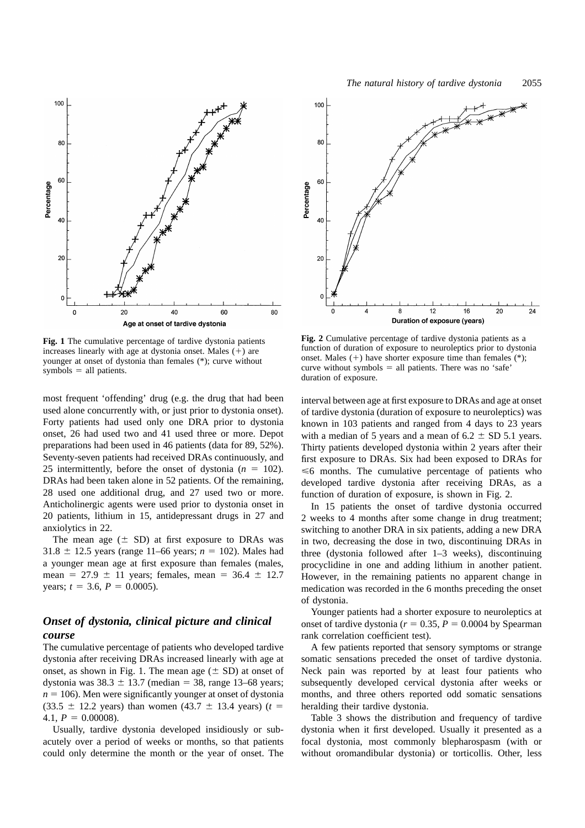

**Fig. 1** The cumulative percentage of tardive dystonia patients increases linearly with age at dystonia onset. Males  $(+)$  are younger at onset of dystonia than females (\*); curve without  $symbols$ symbols = all patients.

most frequent 'offending' drug (e.g. the drug that had been used alone concurrently with, or just prior to dystonia onset). Forty patients had used only one DRA prior to dystonia onset, 26 had used two and 41 used three or more. Depot preparations had been used in 46 patients (data for 89, 52%). Seventy-seven patients had received DRAs continuously, and 25 intermittently, before the onset of dystonia  $(n = 102)$ . DRAs had been taken alone in 52 patients. Of the remaining, 28 used one additional drug, and 27 used two or more. Anticholinergic agents were used prior to dystonia onset in 20 patients, lithium in 15, antidepressant drugs in 27 and anxiolytics in 22.

The mean age  $(\pm SD)$  at first exposure to DRAs was 31.8  $\pm$  12.5 years (range 11–66 years; *n* = 102). Males had a younger mean age at first exposure than females (males, mean =  $27.9 \pm 11$  years; females, mean =  $36.4 \pm 12.7$ years;  $t = 3.6$ ,  $P = 0.0005$ ).

# *Onset of dystonia, clinical picture and clinical course*

The cumulative percentage of patients who developed tardive dystonia after receiving DRAs increased linearly with age at onset, as shown in Fig. 1. The mean age  $(\pm SD)$  at onset of dystonia was  $38.3 \pm 13.7$  (median = 38, range 13–68 years;  $n = 106$ ). Men were significantly younger at onset of dystonia  $(33.5 \pm 12.2 \text{ years})$  than women  $(43.7 \pm 13.4 \text{ years})$  (*t* = 4.1,  $P = 0.00008$ ).

Usually, tardive dystonia developed insidiously or subacutely over a period of weeks or months, so that patients could only determine the month or the year of onset. The



Percentage

 $40$ 

 $20$ 

 $\epsilon$ 

 $\Omega$ 

 $\overline{4}$ 

**Fig. 2** Cumulative percentage of tardive dystonia patients as a function of duration of exposure to neuroleptics prior to dystonia onset. Males  $(+)$  have shorter exposure time than females  $(*)$ ; curve without symbols  $=$  all patients. There was no 'safe' duration of exposure.

8

 $12$ 

Duration of exposure (years)

16

 $20$ 

24

interval between age at first exposure to DRAs and age at onset of tardive dystonia (duration of exposure to neuroleptics) was known in 103 patients and ranged from 4 days to 23 years with a median of 5 years and a mean of  $6.2 \pm SD$  5.1 years. Thirty patients developed dystonia within 2 years after their first exposure to DRAs. Six had been exposed to DRAs for  $\leq 6$  months. The cumulative percentage of patients who developed tardive dystonia after receiving DRAs, as a function of duration of exposure, is shown in Fig. 2.

In 15 patients the onset of tardive dystonia occurred 2 weeks to 4 months after some change in drug treatment; switching to another DRA in six patients, adding a new DRA in two, decreasing the dose in two, discontinuing DRAs in three (dystonia followed after 1–3 weeks), discontinuing procyclidine in one and adding lithium in another patient. However, in the remaining patients no apparent change in medication was recorded in the 6 months preceding the onset of dystonia.

Younger patients had a shorter exposure to neuroleptics at onset of tardive dystonia ( $r = 0.35$ ,  $P = 0.0004$  by Spearman rank correlation coefficient test).

A few patients reported that sensory symptoms or strange somatic sensations preceded the onset of tardive dystonia. Neck pain was reported by at least four patients who subsequently developed cervical dystonia after weeks or months, and three others reported odd somatic sensations heralding their tardive dystonia.

Table 3 shows the distribution and frequency of tardive dystonia when it first developed. Usually it presented as a focal dystonia, most commonly blepharospasm (with or without oromandibular dystonia) or torticollis. Other, less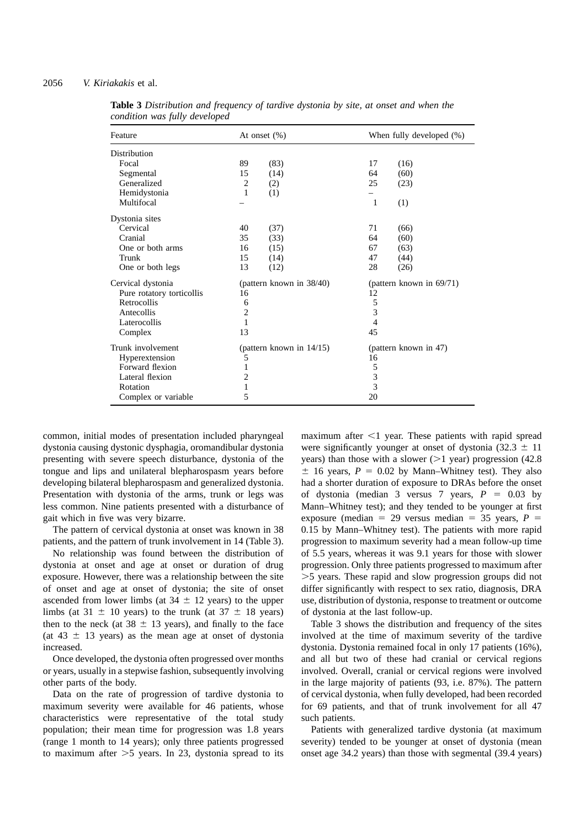# 2056 *V. Kiriakakis* et al.

| Feature                   |                | At onset $(\%)$             |                | When fully developed (%) |
|---------------------------|----------------|-----------------------------|----------------|--------------------------|
| Distribution              |                |                             |                |                          |
| Focal                     | 89             | (83)                        | 17             | (16)                     |
| Segmental                 | 15             | (14)                        | 64             | (60)                     |
| Generalized               | $\overline{c}$ | (2)                         | 25             | (23)                     |
| Hemidystonia              | 1              | (1)                         |                |                          |
| Multifocal                |                |                             | 1              | (1)                      |
| Dystonia sites            |                |                             |                |                          |
| Cervical                  | 40             | (37)                        | 71             | (66)                     |
| Cranial                   | 35             | (33)                        | 64             | (60)                     |
| One or both arms          | 16             | (15)                        | 67             | (63)                     |
| Trunk                     | 15             | (14)                        | 47             | (44)                     |
| One or both legs          | 13             | (12)                        | 28             | (26)                     |
| Cervical dystonia         |                | (pattern known in 38/40)    |                | (pattern known in 69/71) |
| Pure rotatory torticollis | 16             |                             | 12             |                          |
| Retrocollis               | 6              |                             | 5              |                          |
| Antecollis                | $\overline{2}$ |                             | 3              |                          |
| Laterocollis              | 1              |                             | $\overline{4}$ |                          |
| Complex                   | 13             |                             | 45             |                          |
| Trunk involvement         |                | (pattern known in $14/15$ ) |                | (pattern known in 47)    |
| Hyperextension            | 5              |                             | 16             |                          |
| Forward flexion           | 1              |                             | 5              |                          |
| Lateral flexion           | 2              |                             | 3              |                          |
| Rotation                  | 1              |                             | 3              |                          |
| Complex or variable       | 5              |                             | 20             |                          |

**Table 3** *Distribution and frequency of tardive dystonia by site, at onset and when the condition was fully developed*

common, initial modes of presentation included pharyngeal dystonia causing dystonic dysphagia, oromandibular dystonia presenting with severe speech disturbance, dystonia of the tongue and lips and unilateral blepharospasm years before developing bilateral blepharospasm and generalized dystonia. Presentation with dystonia of the arms, trunk or legs was less common. Nine patients presented with a disturbance of gait which in five was very bizarre.

The pattern of cervical dystonia at onset was known in 38 patients, and the pattern of trunk involvement in 14 (Table 3).

No relationship was found between the distribution of dystonia at onset and age at onset or duration of drug exposure. However, there was a relationship between the site of onset and age at onset of dystonia; the site of onset ascended from lower limbs (at  $34 \pm 12$  years) to the upper limbs (at  $31 \pm 10$  years) to the trunk (at  $37 \pm 18$  years) then to the neck (at  $38 \pm 13$  years), and finally to the face (at 43  $\pm$  13 years) as the mean age at onset of dystonia increased.

Once developed, the dystonia often progressed over months or years, usually in a stepwise fashion, subsequently involving other parts of the body.

Data on the rate of progression of tardive dystonia to maximum severity were available for 46 patients, whose characteristics were representative of the total study population; their mean time for progression was 1.8 years (range 1 month to 14 years); only three patients progressed to maximum after  $>5$  years. In 23, dystonia spread to its

maximum after  $\leq 1$  year. These patients with rapid spread were significantly vounger at onset of dystonia  $(32.3 \pm 11)$ years) than those with a slower ( $>1$  year) progression (42.8)  $\pm$  16 years,  $P = 0.02$  by Mann–Whitney test). They also had a shorter duration of exposure to DRAs before the onset of dystonia (median 3 versus 7 years,  $P = 0.03$  by Mann–Whitney test); and they tended to be younger at first exposure (median = 29 versus median = 35 years,  $P =$ 0.15 by Mann–Whitney test). The patients with more rapid progression to maximum severity had a mean follow-up time of 5.5 years, whereas it was 9.1 years for those with slower progression. Only three patients progressed to maximum after .5 years. These rapid and slow progression groups did not differ significantly with respect to sex ratio, diagnosis, DRA use, distribution of dystonia, response to treatment or outcome of dystonia at the last follow-up.

Table 3 shows the distribution and frequency of the sites involved at the time of maximum severity of the tardive dystonia. Dystonia remained focal in only 17 patients (16%), and all but two of these had cranial or cervical regions involved. Overall, cranial or cervical regions were involved in the large majority of patients (93, i.e. 87%). The pattern of cervical dystonia, when fully developed, had been recorded for 69 patients, and that of trunk involvement for all 47 such patients.

Patients with generalized tardive dystonia (at maximum severity) tended to be younger at onset of dystonia (mean onset age 34.2 years) than those with segmental (39.4 years)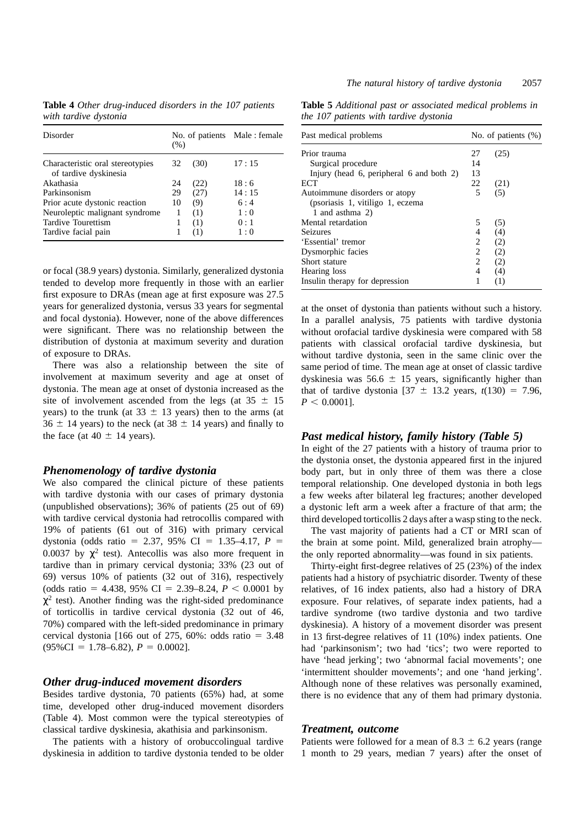**Table 4** *Other drug-induced disorders in the 107 patients with tardive dystonia*

| Disorder                                                  | (% ) |      | No. of patients Male: female |
|-----------------------------------------------------------|------|------|------------------------------|
| Characteristic oral stereotypies<br>of tardive dyskinesia | 32   | (30) | 17:15                        |
| Akathasia                                                 | 24   | (22) | 18:6                         |
| Parkinsonism                                              | 29   | (27) | 14:15                        |
| Prior acute dystonic reaction                             | 10   | (9)  | 6:4                          |
| Neuroleptic malignant syndrome                            | 1    | (1)  | 1:0                          |
| Tardive Tourettism                                        |      | (1)  | 0:1                          |
| Tardive facial pain                                       |      | (1)  | 1:0                          |

or focal (38.9 years) dystonia. Similarly, generalized dystonia tended to develop more frequently in those with an earlier first exposure to DRAs (mean age at first exposure was 27.5 years for generalized dystonia, versus 33 years for segmental and focal dystonia). However, none of the above differences were significant. There was no relationship between the distribution of dystonia at maximum severity and duration of exposure to DRAs.

There was also a relationship between the site of involvement at maximum severity and age at onset of dystonia. The mean age at onset of dystonia increased as the site of involvement ascended from the legs (at  $35 \pm 15$ years) to the trunk (at  $33 \pm 13$  years) then to the arms (at  $36 \pm 14$  years) to the neck (at  $38 \pm 14$  years) and finally to the face (at  $40 \pm 14$  years).

# *Phenomenology of tardive dystonia*

We also compared the clinical picture of these patients with tardive dystonia with our cases of primary dystonia (unpublished observations); 36% of patients (25 out of 69) with tardive cervical dystonia had retrocollis compared with 19% of patients (61 out of 316) with primary cervical dystonia (odds ratio = 2.37, 95% CI = 1.35–4.17,  $P =$ 0.0037 by  $\chi^2$  test). Antecollis was also more frequent in tardive than in primary cervical dystonia; 33% (23 out of 69) versus 10% of patients (32 out of 316), respectively (odds ratio = 4.438, 95% CI = 2.39–8.24,  $P < 0.0001$  by  $\chi^2$  test). Another finding was the right-sided predominance of torticollis in tardive cervical dystonia (32 out of 46, 70%) compared with the left-sided predominance in primary cervical dystonia [166 out of 275, 60%: odds ratio =  $3.48$  $(95\%CI = 1.78–6.82), P = 0.0002$ .

# *Other drug-induced movement disorders*

Besides tardive dystonia, 70 patients (65%) had, at some time, developed other drug-induced movement disorders (Table 4). Most common were the typical stereotypies of classical tardive dyskinesia, akathisia and parkinsonism.

The patients with a history of orobuccolingual tardive dyskinesia in addition to tardive dystonia tended to be older

**Table 5** *Additional past or associated medical problems in the 107 patients with tardive dystonia*

| Past medical problems                    |    | No. of patients $(\%)$ |
|------------------------------------------|----|------------------------|
| Prior trauma                             | 27 | (25)                   |
| Surgical procedure                       | 14 |                        |
| Injury (head 6, peripheral 6 and both 2) | 13 |                        |
| ECT                                      | 22 | (21)                   |
| Autoimmune disorders or atopy            | 5  | (5)                    |
| (psoriasis 1, vitiligo 1, eczema         |    |                        |
| 1 and asthma 2)                          |    |                        |
| Mental retardation                       | 5  | (5)                    |
| Seizures                                 | 4  | (4)                    |
| 'Essential' tremor                       | 2  | (2)                    |
| Dysmorphic facies                        | 2  | (2)                    |
| Short stature                            | 2  | (2)                    |
| Hearing loss                             | 4  | (4)                    |
| Insulin therapy for depression           | 1  | (1)                    |

at the onset of dystonia than patients without such a history. In a parallel analysis, 75 patients with tardive dystonia without orofacial tardive dyskinesia were compared with 58 patients with classical orofacial tardive dyskinesia, but without tardive dystonia, seen in the same clinic over the same period of time. The mean age at onset of classic tardive dyskinesia was  $56.6 \pm 15$  years, significantly higher than that of tardive dystonia  $[37 \pm 13.2 \text{ years}, t(130) = 7.96,$  $P < 0.0001$ ].

# *Past medical history, family history (Table 5)*

In eight of the 27 patients with a history of trauma prior to the dystonia onset, the dystonia appeared first in the injured body part, but in only three of them was there a close temporal relationship. One developed dystonia in both legs a few weeks after bilateral leg fractures; another developed a dystonic left arm a week after a fracture of that arm; the third developed torticollis 2 days after a wasp sting to the neck.

The vast majority of patients had a CT or MRI scan of the brain at some point. Mild, generalized brain atrophy the only reported abnormality—was found in six patients.

Thirty-eight first-degree relatives of 25 (23%) of the index patients had a history of psychiatric disorder. Twenty of these relatives, of 16 index patients, also had a history of DRA exposure. Four relatives, of separate index patients, had a tardive syndrome (two tardive dystonia and two tardive dyskinesia). A history of a movement disorder was present in 13 first-degree relatives of 11 (10%) index patients. One had 'parkinsonism'; two had 'tics'; two were reported to have 'head jerking'; two 'abnormal facial movements'; one 'intermittent shoulder movements'; and one 'hand jerking'. Although none of these relatives was personally examined, there is no evidence that any of them had primary dystonia.

#### *Treatment, outcome*

Patients were followed for a mean of 8.3  $\pm$  6.2 years (range 1 month to 29 years, median 7 years) after the onset of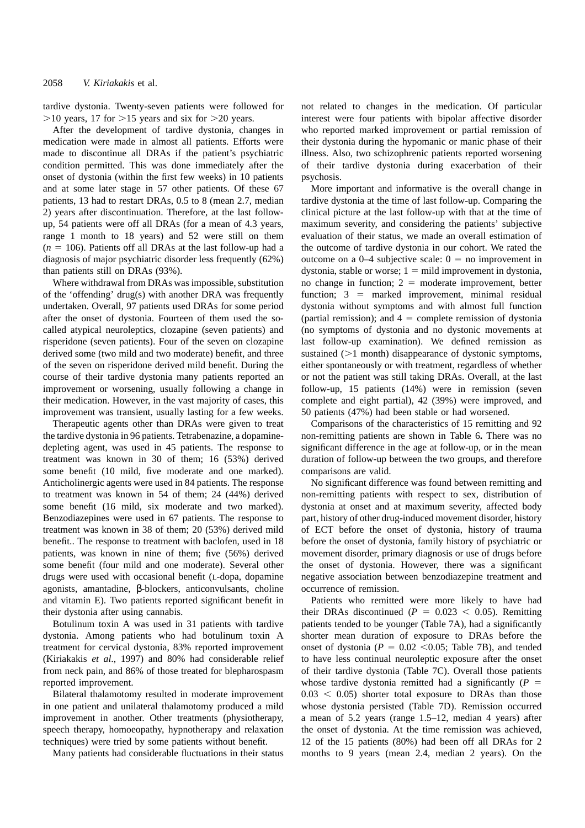tardive dystonia. Twenty-seven patients were followed for  $>10$  years, 17 for  $>15$  years and six for  $>20$  years.

After the development of tardive dystonia, changes in medication were made in almost all patients. Efforts were made to discontinue all DRAs if the patient's psychiatric condition permitted. This was done immediately after the onset of dystonia (within the first few weeks) in 10 patients and at some later stage in 57 other patients. Of these 67 patients, 13 had to restart DRAs, 0.5 to 8 (mean 2.7, median 2) years after discontinuation. Therefore, at the last followup, 54 patients were off all DRAs (for a mean of 4.3 years, range 1 month to 18 years) and 52 were still on them  $(n = 106)$ . Patients off all DRAs at the last follow-up had a diagnosis of major psychiatric disorder less frequently (62%) than patients still on DRAs (93%).

Where withdrawal from DRAs was impossible, substitution of the 'offending' drug(s) with another DRA was frequently undertaken. Overall, 97 patients used DRAs for some period after the onset of dystonia. Fourteen of them used the socalled atypical neuroleptics, clozapine (seven patients) and risperidone (seven patients). Four of the seven on clozapine derived some (two mild and two moderate) benefit, and three of the seven on risperidone derived mild benefit. During the course of their tardive dystonia many patients reported an improvement or worsening, usually following a change in their medication. However, in the vast majority of cases, this improvement was transient, usually lasting for a few weeks.

Therapeutic agents other than DRAs were given to treat the tardive dystonia in 96 patients. Tetrabenazine, a dopaminedepleting agent, was used in 45 patients. The response to treatment was known in 30 of them; 16 (53%) derived some benefit (10 mild, five moderate and one marked). Anticholinergic agents were used in 84 patients. The response to treatment was known in 54 of them; 24 (44%) derived some benefit (16 mild, six moderate and two marked). Benzodiazepines were used in 67 patients. The response to treatment was known in 38 of them; 20 (53%) derived mild benefit.. The response to treatment with baclofen, used in 18 patients, was known in nine of them; five (56%) derived some benefit (four mild and one moderate). Several other drugs were used with occasional benefit (L-dopa, dopamine agonists, amantadine, β-blockers, anticonvulsants, choline and vitamin E). Two patients reported significant benefit in their dystonia after using cannabis.

Botulinum toxin A was used in 31 patients with tardive dystonia. Among patients who had botulinum toxin A treatment for cervical dystonia, 83% reported improvement (Kiriakakis *et al*., 1997) and 80% had considerable relief from neck pain, and 86% of those treated for blepharospasm reported improvement.

Bilateral thalamotomy resulted in moderate improvement in one patient and unilateral thalamotomy produced a mild improvement in another. Other treatments (physiotherapy, speech therapy, homoeopathy, hypnotherapy and relaxation techniques) were tried by some patients without benefit.

Many patients had considerable fluctuations in their status

not related to changes in the medication. Of particular interest were four patients with bipolar affective disorder who reported marked improvement or partial remission of their dystonia during the hypomanic or manic phase of their illness. Also, two schizophrenic patients reported worsening of their tardive dystonia during exacerbation of their psychosis.

More important and informative is the overall change in tardive dystonia at the time of last follow-up. Comparing the clinical picture at the last follow-up with that at the time of maximum severity, and considering the patients' subjective evaluation of their status, we made an overall estimation of the outcome of tardive dystonia in our cohort. We rated the outcome on a  $0-4$  subjective scale:  $0 =$  no improvement in dystonia, stable or worse;  $1 = \text{mild improvement in dysfunction}$ , no change in function;  $2 =$  moderate improvement, better function;  $3 =$  marked improvement, minimal residual dystonia without symptoms and with almost full function (partial remission); and  $4 =$  complete remission of dystonia (no symptoms of dystonia and no dystonic movements at last follow-up examination). We defined remission as sustained  $(>1$  month) disappearance of dystonic symptoms, either spontaneously or with treatment, regardless of whether or not the patient was still taking DRAs. Overall, at the last follow-up, 15 patients (14%) were in remission (seven complete and eight partial), 42 (39%) were improved, and 50 patients (47%) had been stable or had worsened.

Comparisons of the characteristics of 15 remitting and 92 non-remitting patients are shown in Table 6**.** There was no significant difference in the age at follow-up, or in the mean duration of follow-up between the two groups, and therefore comparisons are valid.

No significant difference was found between remitting and non-remitting patients with respect to sex, distribution of dystonia at onset and at maximum severity, affected body part, history of other drug-induced movement disorder, history of ECT before the onset of dystonia, history of trauma before the onset of dystonia, family history of psychiatric or movement disorder, primary diagnosis or use of drugs before the onset of dystonia. However, there was a significant negative association between benzodiazepine treatment and occurrence of remission.

Patients who remitted were more likely to have had their DRAs discontinued ( $P = 0.023 < 0.05$ ). Remitting patients tended to be younger (Table 7A), had a significantly shorter mean duration of exposure to DRAs before the onset of dystonia ( $P = 0.02 \le 0.05$ ; Table 7B), and tended to have less continual neuroleptic exposure after the onset of their tardive dystonia (Table 7C). Overall those patients whose tardive dystonia remitted had a significantly  $(P =$  $0.03 < 0.05$ ) shorter total exposure to DRAs than those whose dystonia persisted (Table 7D). Remission occurred a mean of 5.2 years (range 1.5–12, median 4 years) after the onset of dystonia. At the time remission was achieved, 12 of the 15 patients (80%) had been off all DRAs for 2 months to 9 years (mean 2.4, median 2 years). On the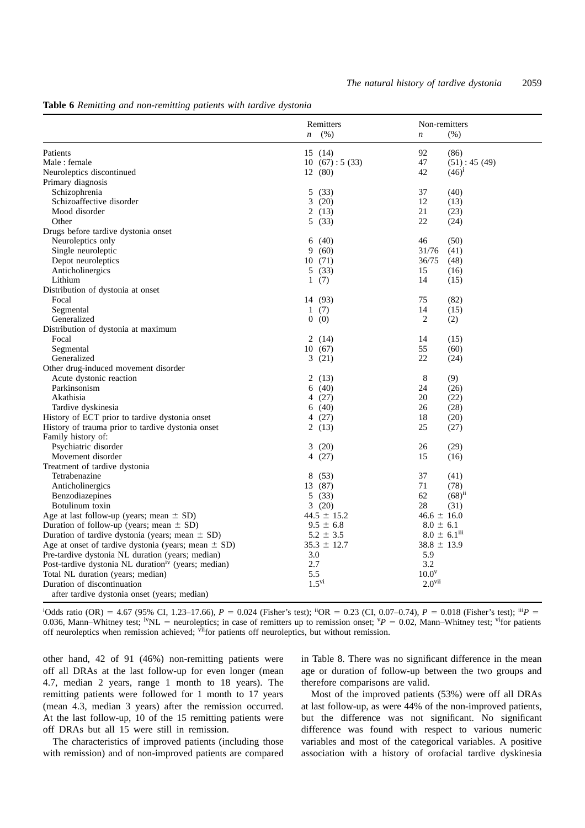|                                                                 | Remitters                | Non-remitters                |
|-----------------------------------------------------------------|--------------------------|------------------------------|
|                                                                 | (% )<br>$\boldsymbol{n}$ | (% )<br>$\boldsymbol{n}$     |
| Patients                                                        | 15(14)                   | 92<br>(86)                   |
| Male: female                                                    | 10(67): 5(33)            | 47<br>(51): 45(49)           |
| Neuroleptics discontinued                                       | 12 (80)                  | 42<br>$(46)^1$               |
| Primary diagnosis                                               |                          |                              |
| Schizophrenia                                                   | 5(33)                    | 37<br>(40)                   |
| Schizoaffective disorder                                        | 3(20)                    | 12<br>(13)                   |
| Mood disorder                                                   | 2(13)                    | 21<br>(23)                   |
| Other                                                           | 5(33)                    | 22<br>(24)                   |
| Drugs before tardive dystonia onset                             |                          |                              |
| Neuroleptics only                                               | (40)<br>6                | 46<br>(50)                   |
| Single neuroleptic                                              | 9(60)                    | 31/76<br>(41)                |
| Depot neuroleptics                                              | 10(71)                   | 36/75<br>(48)                |
| Anticholinergics                                                | 5(33)                    | 15<br>(16)                   |
| Lithium                                                         | 1(7)                     | 14<br>(15)                   |
| Distribution of dystonia at onset                               |                          |                              |
| Focal                                                           | 14 (93)                  | 75<br>(82)                   |
| Segmental                                                       | 1(7)                     | 14<br>(15)                   |
| Generalized                                                     | 0(0)                     | $\overline{2}$<br>(2)        |
| Distribution of dystonia at maximum                             |                          |                              |
| Focal                                                           | 2(14)                    | 14<br>(15)                   |
| Segmental                                                       | 10(67)                   | 55<br>(60)                   |
| Generalized                                                     | 3(21)                    | 22<br>(24)                   |
| Other drug-induced movement disorder                            |                          |                              |
| Acute dystonic reaction                                         | 2(13)                    | 8<br>(9)                     |
| Parkinsonism                                                    | 6(40)                    | 24<br>(26)                   |
| Akathisia                                                       | 4(27)                    | 20<br>(22)                   |
| Tardive dyskinesia                                              | 6(40)                    | 26<br>(28)                   |
| History of ECT prior to tardive dystonia onset                  | 4 (27)                   | 18<br>(20)                   |
| History of trauma prior to tardive dystonia onset               | 2(13)                    | 25<br>(27)                   |
| Family history of:                                              |                          |                              |
| Psychiatric disorder                                            | 3<br>(20)                | (29)<br>26                   |
| Movement disorder                                               | 4 (27)                   | 15<br>(16)                   |
| Treatment of tardive dystonia                                   |                          |                              |
| Tetrabenazine                                                   | 8(53)                    | 37<br>(41)                   |
| Anticholinergics                                                | 13 (87)                  | 71<br>(78)                   |
| Benzodiazepines                                                 | 5(33)                    | 62<br>$(68)^{11}$            |
| Botulinum toxin                                                 | 3(20)                    | 28<br>(31)                   |
| Age at last follow-up (years; mean $\pm$ SD)                    | $44.5 \pm 15.2$          | $46.6 \pm 16.0$              |
| Duration of follow-up (years; mean $\pm$ SD)                    | $9.5 \pm 6.8$            | $8.0 \pm 6.1$                |
| Duration of tardive dystonia (years; mean $\pm$ SD)             | $5.2 \pm 3.5$            | $8.0 \pm 6.1$ <sup>iii</sup> |
| Age at onset of tardive dystonia (years; mean $\pm$ SD)         | $35.3 \pm 12.7$          | $38.8 \pm 13.9$              |
| Pre-tardive dystonia NL duration (years; median)                |                          |                              |
| Post-tardive dystonia NL duration <sup>iv</sup> (years; median) | 3.0<br>2.7               | 5.9<br>3.2                   |
| Total NL duration (years; median)                               | 5.5                      | 10.0 <sup>v</sup>            |
| Duration of discontinuation                                     | $1.5^{vi}$               | 2.0 <sup>vi</sup>            |
| after tardive dystonia onset (years; median)                    |                          |                              |
|                                                                 |                          |                              |

#### **Table 6** *Remitting and non-remitting patients with tardive dystonia*

<sup>i</sup>Odds ratio (OR) = 4.67 (95% CI, 1.23–17.66), *P* = 0.024 (Fisher's test); <sup>ii</sup>OR = 0.23 (CI, 0.07–0.74), *P* = 0.018 (Fisher's test); <sup>iii</sup>*P* = 0.036, Mann–Whitney test; <sup>iv</sup>NL = neuroleptics; in case of remitters up to remission onset; <sup>*v*</sup> $P = 0.02$ , Mann–Whitney test; <sup>vi</sup>for patients off neuroleptics when remission achieved;  $\theta$ <sup>if</sup>for patients off neuroleptics, but without remission.

other hand, 42 of 91 (46%) non-remitting patients were off all DRAs at the last follow-up for even longer (mean 4.7, median 2 years, range 1 month to 18 years). The remitting patients were followed for 1 month to 17 years (mean 4.3, median 3 years) after the remission occurred. At the last follow-up, 10 of the 15 remitting patients were off DRAs but all 15 were still in remission.

The characteristics of improved patients (including those with remission) and of non-improved patients are compared in Table 8. There was no significant difference in the mean age or duration of follow-up between the two groups and therefore comparisons are valid.

Most of the improved patients (53%) were off all DRAs at last follow-up, as were 44% of the non-improved patients, but the difference was not significant. No significant difference was found with respect to various numeric variables and most of the categorical variables. A positive association with a history of orofacial tardive dyskinesia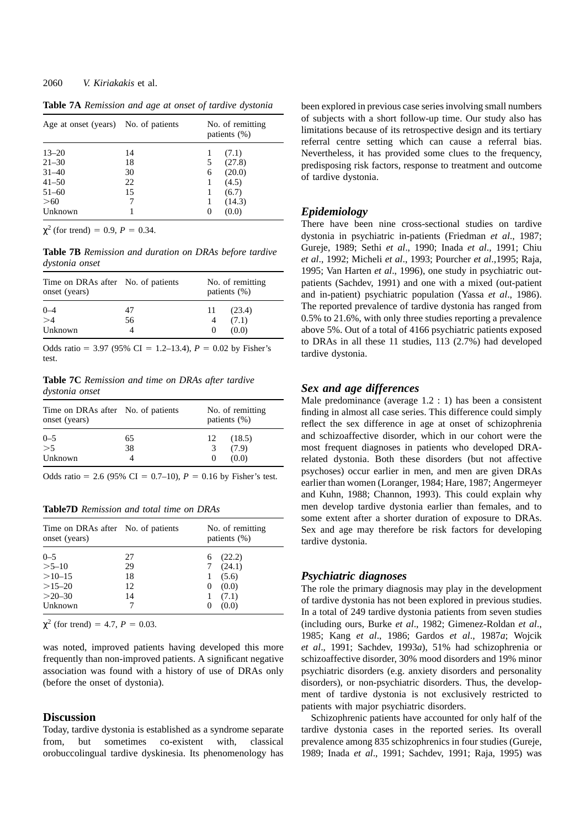## 2060 *V. Kiriakakis* et al.

| Age at onset (years) No. of patients |    | No. of remitting<br>patients $(\%)$ |        |  |
|--------------------------------------|----|-------------------------------------|--------|--|
| $13 - 20$                            | 14 | 1                                   | (7.1)  |  |
| $21 - 30$                            | 18 | 5                                   | (27.8) |  |
| $31 - 40$                            | 30 | 6                                   | (20.0) |  |
| $41 - 50$                            | 22 |                                     | (4.5)  |  |
| $51 - 60$                            | 15 |                                     | (6.7)  |  |
| >60                                  |    |                                     | (14.3) |  |
| Unknown                              |    | $\theta$                            | (0.0)  |  |

**Table 7A** *Remission and age at onset of tardive dystonia*

 $\chi^2$  (for trend) = 0.9, *P* = 0.34.

**Table 7B** *Remission and duration on DRAs before tardive dystonia onset*

| Time on DRAs after No. of patients<br>onset (years) |    |            | No. of remitting<br>patients (%) |
|-----------------------------------------------------|----|------------|----------------------------------|
| $0 - 4$<br>$\geq 4$                                 | 47 | $11-$      | (23.4)                           |
|                                                     | 56 |            | (7.1)                            |
| Unknown                                             |    | $^{\circ}$ | (0.0)                            |

Odds ratio = 3.97 (95% CI = 1.2–13.4),  $P = 0.02$  by Fisher's test.

**Table 7C** *Remission and time on DRAs after tardive dystonia onset*

| Time on DRAs after No. of patients<br>onset (years) |    |    | No. of remitting<br>patients $(\%)$ |
|-----------------------------------------------------|----|----|-------------------------------------|
| $0 - 5$<br>>5                                       | 65 | 12 | (18.5)                              |
|                                                     | 38 | 3  | (7.9)                               |
| Unknown                                             |    |    | (0.0)                               |

Odds ratio = 2.6 (95% CI = 0.7–10),  $P = 0.16$  by Fisher's test.

**Table7D** *Remission and total time on DRAs*

| Time on DRAs after No. of patients<br>onset (years)      |                            | No. of remitting<br>patients (%)                          |
|----------------------------------------------------------|----------------------------|-----------------------------------------------------------|
| $0 - 5$<br>$>5 - 10$<br>$>10-15$<br>$>15-20$<br>$>20-30$ | 27<br>29<br>18<br>12<br>14 | 6(22.2)<br>7(24.1)<br>(5.6)<br>(0.0)<br>$\theta$<br>(7.1) |
| Unknown                                                  |                            | (0.0)                                                     |

 $\chi^2$  (for trend) = 4.7, *P* = 0.03.

was noted, improved patients having developed this more frequently than non-improved patients. A significant negative association was found with a history of use of DRAs only (before the onset of dystonia).

#### **Discussion**

Today, tardive dystonia is established as a syndrome separate from, but sometimes co-existent with, classical orobuccolingual tardive dyskinesia. Its phenomenology has

been explored in previous case series involving small numbers of subjects with a short follow-up time. Our study also has limitations because of its retrospective design and its tertiary referral centre setting which can cause a referral bias. Nevertheless, it has provided some clues to the frequency, predisposing risk factors, response to treatment and outcome of tardive dystonia.

# *Epidemiology*

There have been nine cross-sectional studies on tardive dystonia in psychiatric in-patients (Friedman *et al*., 1987; Gureje, 1989; Sethi *et al*., 1990; Inada *et al*., 1991; Chiu *et al*., 1992; Micheli *et al*., 1993; Pourcher *et al*.,1995; Raja, 1995; Van Harten *et al*., 1996), one study in psychiatric outpatients (Sachdev, 1991) and one with a mixed (out-patient and in-patient) psychiatric population (Yassa *et al*., 1986). The reported prevalence of tardive dystonia has ranged from 0.5% to 21.6%, with only three studies reporting a prevalence above 5%. Out of a total of 4166 psychiatric patients exposed to DRAs in all these 11 studies, 113 (2.7%) had developed tardive dystonia.

# *Sex and age differences*

Male predominance (average 1.2 : 1) has been a consistent finding in almost all case series. This difference could simply reflect the sex difference in age at onset of schizophrenia and schizoaffective disorder, which in our cohort were the most frequent diagnoses in patients who developed DRArelated dystonia. Both these disorders (but not affective psychoses) occur earlier in men, and men are given DRAs earlier than women (Loranger, 1984; Hare, 1987; Angermeyer and Kuhn, 1988; Channon, 1993). This could explain why men develop tardive dystonia earlier than females, and to some extent after a shorter duration of exposure to DRAs. Sex and age may therefore be risk factors for developing tardive dystonia.

# *Psychiatric diagnoses*

The role the primary diagnosis may play in the development of tardive dystonia has not been explored in previous studies. In a total of 249 tardive dystonia patients from seven studies (including ours, Burke *et al*., 1982; Gimenez-Roldan *et al*., 1985; Kang *et al*., 1986; Gardos *et al*., 1987*a*; Wojcik *et al*., 1991; Sachdev, 1993*a*), 51% had schizophrenia or schizoaffective disorder, 30% mood disorders and 19% minor psychiatric disorders (e.g. anxiety disorders and personality disorders), or non-psychiatric disorders. Thus, the development of tardive dystonia is not exclusively restricted to patients with major psychiatric disorders.

Schizophrenic patients have accounted for only half of the tardive dystonia cases in the reported series. Its overall prevalence among 835 schizophrenics in four studies (Gureje, 1989; Inada *et al*., 1991; Sachdev, 1991; Raja, 1995) was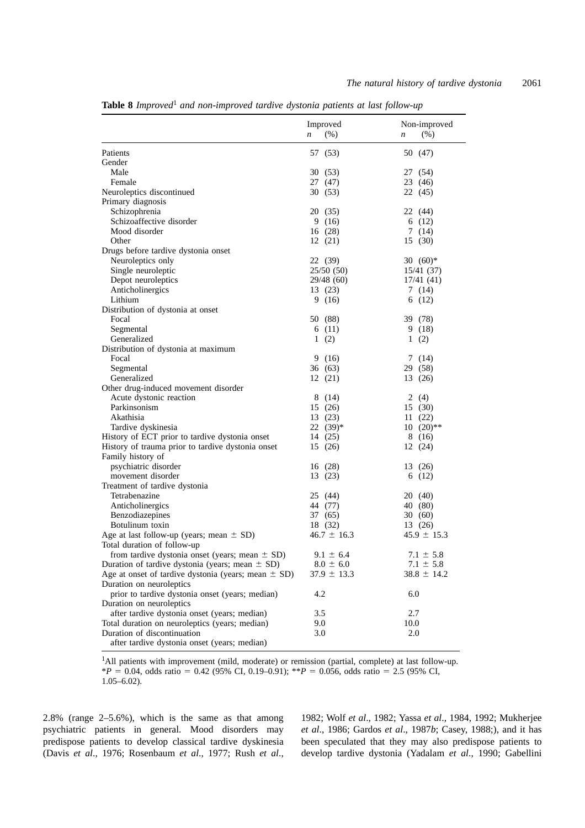|                                                         | Improved        | Non-improved             |
|---------------------------------------------------------|-----------------|--------------------------|
|                                                         | (%)<br>n        | (% )<br>$\boldsymbol{n}$ |
| Patients                                                | 57 (53)         | 50 (47)                  |
| Gender                                                  |                 |                          |
| Male                                                    | 30 (53)         | 27 (54)                  |
| Female                                                  | 27 (47)         | 23 (46)                  |
| Neuroleptics discontinued                               | 30(53)          | 22 (45)                  |
| Primary diagnosis                                       |                 |                          |
| Schizophrenia                                           | 20 (35)         | 22 (44)                  |
| Schizoaffective disorder                                | 9(16)           | 6(12)                    |
| Mood disorder                                           | 16(28)          | 7(14)                    |
| Other                                                   | 12(21)          | 15(30)                   |
| Drugs before tardive dystonia onset                     |                 |                          |
| Neuroleptics only                                       | 22 (39)         | $30(60)*$                |
| Single neuroleptic                                      | 25/50 (50)      | 15/41 (37)               |
| Depot neuroleptics                                      | 29/48 (60)      | 17/41(41)                |
| Anticholinergics                                        | 13 (23)         | 7(14)                    |
| Lithium                                                 | 9(16)           | 6(12)                    |
| Distribution of dystonia at onset                       |                 |                          |
| Focal                                                   | 50 (88)         | 39 (78)                  |
| Segmental                                               | 6(11)           | 9(18)                    |
| Generalized                                             | 1(2)            | 1(2)                     |
| Distribution of dystonia at maximum                     |                 |                          |
| Focal                                                   | 9 (16)          | 7(14)                    |
| Segmental                                               | 36 (63)         | 29 (58)                  |
| Generalized                                             | 12(21)          | 13 (26)                  |
| Other drug-induced movement disorder                    |                 |                          |
| Acute dystonic reaction                                 | 8(14)           | 2 $(4)$                  |
| Parkinsonism                                            | 15(26)          | 15(30)                   |
| Akathisia                                               | 13(23)          | 11(22)                   |
| Tardive dyskinesia                                      | $22(39)*$       | $10(20)**$               |
| History of ECT prior to tardive dystonia onset          | 14(25)          | 8(16)                    |
| History of trauma prior to tardive dystonia onset       | 15 (26)         | 12(24)                   |
| Family history of                                       |                 |                          |
| psychiatric disorder                                    | 16 (28)         | 13 (26)                  |
| movement disorder                                       | 13 (23)         | 6(12)                    |
| Treatment of tardive dystonia                           |                 |                          |
| Tetrabenazine                                           | 25 (44)         | 20 (40)                  |
| Anticholinergics                                        | 44 (77)         | 40 (80)                  |
| Benzodiazepines                                         | 37 (65)         | 30(60)                   |
| Botulinum toxin                                         | 18 (32)         | 13 (26)                  |
| Age at last follow-up (years; mean $\pm$ SD)            | $46.7 \pm 16.3$ | $45.9 \pm 15.3$          |
| Total duration of follow-up                             |                 |                          |
| from tardive dystonia onset (years; mean $\pm$ SD)      | $9.1 \pm 6.4$   | $7.1 \pm 5.8$            |
| Duration of tardive dystonia (years; mean $\pm$ SD)     | $8.0 \pm 6.0$   | $7.1 \pm 5.8$            |
| Age at onset of tardive dystonia (years; mean $\pm$ SD) | $37.9 \pm 13.3$ | $38.8 \pm 14.2$          |
| Duration on neuroleptics                                |                 |                          |
| prior to tardive dystonia onset (years; median)         | 4.2             | 6.0                      |
| Duration on neuroleptics                                |                 |                          |
| after tardive dystonia onset (years; median)            | 3.5             | 2.7                      |
| Total duration on neuroleptics (years; median)          | 9.0             | 10.0                     |
| Duration of discontinuation                             | 3.0             | 2.0                      |
| after tardive dystonia onset (years; median)            |                 |                          |

**Table 8** *Improved*<sup>1</sup> *and non-improved tardive dystonia patients at last follow-up*

<sup>1</sup>All patients with improvement (mild, moderate) or remission (partial, complete) at last follow-up.  $*P = 0.04$ , odds ratio = 0.42 (95% CI, 0.19–0.91);  $*P = 0.056$ , odds ratio = 2.5 (95% CI, 1.05–6.02).

2.8% (range 2–5.6%), which is the same as that among psychiatric patients in general. Mood disorders may predispose patients to develop classical tardive dyskinesia (Davis *et al*., 1976; Rosenbaum *et al*., 1977; Rush *et al*., 1982; Wolf *et al*., 1982; Yassa *et al*., 1984, 1992; Mukherjee *et al*., 1986; Gardos *et al*., 1987*b*; Casey, 1988;), and it has been speculated that they may also predispose patients to develop tardive dystonia (Yadalam *et al*., 1990; Gabellini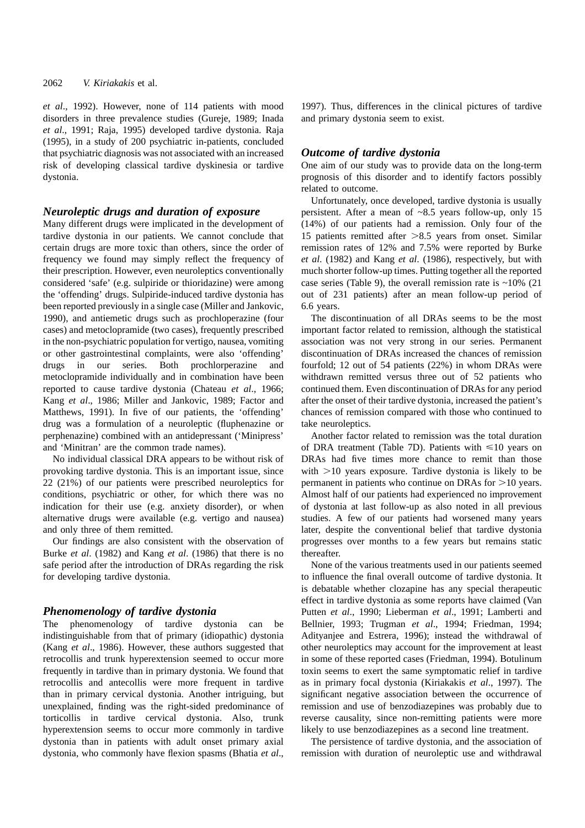*et al*., 1992). However, none of 114 patients with mood disorders in three prevalence studies (Gureje, 1989; Inada *et al*., 1991; Raja, 1995) developed tardive dystonia. Raja (1995), in a study of 200 psychiatric in-patients, concluded that psychiatric diagnosis was not associated with an increased risk of developing classical tardive dyskinesia or tardive dystonia.

# *Neuroleptic drugs and duration of exposure*

Many different drugs were implicated in the development of tardive dystonia in our patients. We cannot conclude that certain drugs are more toxic than others, since the order of frequency we found may simply reflect the frequency of their prescription. However, even neuroleptics conventionally considered 'safe' (e.g. sulpiride or thioridazine) were among the 'offending' drugs. Sulpiride-induced tardive dystonia has been reported previously in a single case (Miller and Jankovic, 1990), and antiemetic drugs such as prochloperazine (four cases) and metoclopramide (two cases), frequently prescribed in the non-psychiatric population for vertigo, nausea, vomiting or other gastrointestinal complaints, were also 'offending' drugs in our series. Both prochlorperazine and metoclopramide individually and in combination have been reported to cause tardive dystonia (Chateau *et al*., 1966; Kang *et al*., 1986; Miller and Jankovic, 1989; Factor and Matthews, 1991). In five of our patients, the 'offending' drug was a formulation of a neuroleptic (fluphenazine or perphenazine) combined with an antidepressant ('Minipress' and 'Minitran' are the common trade names).

No individual classical DRA appears to be without risk of provoking tardive dystonia. This is an important issue, since 22 (21%) of our patients were prescribed neuroleptics for conditions, psychiatric or other, for which there was no indication for their use (e.g. anxiety disorder), or when alternative drugs were available (e.g. vertigo and nausea) and only three of them remitted.

Our findings are also consistent with the observation of Burke *et al*. (1982) and Kang *et al*. (1986) that there is no safe period after the introduction of DRAs regarding the risk for developing tardive dystonia.

## *Phenomenology of tardive dystonia*

The phenomenology of tardive dystonia can be indistinguishable from that of primary (idiopathic) dystonia (Kang *et al*., 1986). However, these authors suggested that retrocollis and trunk hyperextension seemed to occur more frequently in tardive than in primary dystonia. We found that retrocollis and antecollis were more frequent in tardive than in primary cervical dystonia. Another intriguing, but unexplained, finding was the right-sided predominance of torticollis in tardive cervical dystonia. Also, trunk hyperextension seems to occur more commonly in tardive dystonia than in patients with adult onset primary axial dystonia, who commonly have flexion spasms (Bhatia *et al*.,

1997). Thus, differences in the clinical pictures of tardive and primary dystonia seem to exist.

#### *Outcome of tardive dystonia*

One aim of our study was to provide data on the long-term prognosis of this disorder and to identify factors possibly related to outcome.

Unfortunately, once developed, tardive dystonia is usually persistent. After a mean of ~8.5 years follow-up, only 15 (14%) of our patients had a remission. Only four of the 15 patients remitted after  $>8.5$  years from onset. Similar remission rates of 12% and 7.5% were reported by Burke *et al*. (1982) and Kang *et al*. (1986), respectively, but with much shorter follow-up times. Putting together all the reported case series (Table 9), the overall remission rate is  $\sim$ 10% (21) out of 231 patients) after an mean follow-up period of 6.6 years.

The discontinuation of all DRAs seems to be the most important factor related to remission, although the statistical association was not very strong in our series. Permanent discontinuation of DRAs increased the chances of remission fourfold; 12 out of 54 patients (22%) in whom DRAs were withdrawn remitted versus three out of 52 patients who continued them. Even discontinuation of DRAs for any period after the onset of their tardive dystonia, increased the patient's chances of remission compared with those who continued to take neuroleptics.

Another factor related to remission was the total duration of DRA treatment (Table 7D). Patients with  $\leq 10$  years on DRAs had five times more chance to remit than those with  $>10$  years exposure. Tardive dystonia is likely to be permanent in patients who continue on DRAs for  $>10$  years. Almost half of our patients had experienced no improvement of dystonia at last follow-up as also noted in all previous studies. A few of our patients had worsened many years later, despite the conventional belief that tardive dystonia progresses over months to a few years but remains static thereafter.

None of the various treatments used in our patients seemed to influence the final overall outcome of tardive dystonia. It is debatable whether clozapine has any special therapeutic effect in tardive dystonia as some reports have claimed (Van Putten *et al*., 1990; Lieberman *et al*., 1991; Lamberti and Bellnier, 1993; Trugman *et al*., 1994; Friedman, 1994; Adityanjee and Estrera, 1996); instead the withdrawal of other neuroleptics may account for the improvement at least in some of these reported cases (Friedman, 1994). Botulinum toxin seems to exert the same symptomatic relief in tardive as in primary focal dystonia (Kiriakakis *et al*., 1997). The significant negative association between the occurrence of remission and use of benzodiazepines was probably due to reverse causality, since non-remitting patients were more likely to use benzodiazepines as a second line treatment.

The persistence of tardive dystonia, and the association of remission with duration of neuroleptic use and withdrawal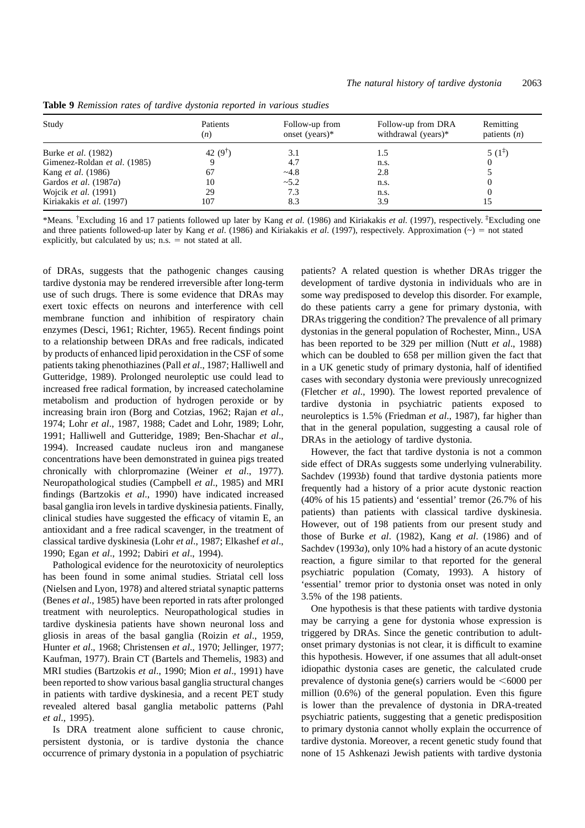| Study                        | Patients<br>(n)    | Follow-up from<br>onset (years) $*$ | Follow-up from DRA<br>withdrawal (years)* | Remitting<br>patients $(n)$ |
|------------------------------|--------------------|-------------------------------------|-------------------------------------------|-----------------------------|
| Burke <i>et al.</i> (1982)   | 42 $(9^{\dagger})$ |                                     | 1.5                                       | $5(1^{\frac{1}{4}})$        |
| Gimenez-Roldan et al. (1985) |                    | 4.7                                 | n.s.                                      |                             |
| Kang <i>et al.</i> (1986)    | 67                 | $-4.8$                              | 2.8                                       |                             |
| Gardos et al. (1987a)        | 10                 | ~15.2                               | n.s.                                      |                             |
| Wojcik <i>et al.</i> (1991)  | 29                 | 7.3                                 | n.s.                                      |                             |
| Kiriakakis et al. (1997)     | 107                | 8.3                                 | 3.9                                       |                             |

**Table 9** *Remission rates of tardive dystonia reported in various studies*

\*Means. †Excluding 16 and 17 patients followed up later by Kang *et al*. (1986) and Kiriakakis *et al*. (1997), respectively. ‡Excluding one and three patients followed-up later by Kang *et al.* (1986) and Kiriakakis *et al.* (1997), respectively. Approximation (~) = not stated explicitly, but calculated by us;  $n.s. = not stated at all.$ 

of DRAs, suggests that the pathogenic changes causing tardive dystonia may be rendered irreversible after long-term use of such drugs. There is some evidence that DRAs may exert toxic effects on neurons and interference with cell membrane function and inhibition of respiratory chain enzymes (Desci, 1961; Richter, 1965). Recent findings point to a relationship between DRAs and free radicals, indicated by products of enhanced lipid peroxidation in the CSF of some patients taking phenothiazines (Pall *et al*., 1987; Halliwell and Gutteridge, 1989). Prolonged neuroleptic use could lead to increased free radical formation, by increased catecholamine metabolism and production of hydrogen peroxide or by increasing brain iron (Borg and Cotzias, 1962; Rajan *et al*., 1974; Lohr *et al*., 1987, 1988; Cadet and Lohr, 1989; Lohr, 1991; Halliwell and Gutteridge, 1989; Ben-Shachar *et al*., 1994). Increased caudate nucleus iron and manganese concentrations have been demonstrated in guinea pigs treated chronically with chlorpromazine (Weiner *et al*., 1977). Neuropathological studies (Campbell *et al*., 1985) and MRI findings (Bartzokis *et al*., 1990) have indicated increased basal ganglia iron levels in tardive dyskinesia patients. Finally, clinical studies have suggested the efficacy of vitamin E, an antioxidant and a free radical scavenger, in the treatment of classical tardive dyskinesia (Lohr *et al*., 1987; Elkashef *et al*., 1990; Egan *et al*., 1992; Dabiri *et al*., 1994).

Pathological evidence for the neurotoxicity of neuroleptics has been found in some animal studies. Striatal cell loss (Nielsen and Lyon, 1978) and altered striatal synaptic patterns (Benes *et al*., 1985) have been reported in rats after prolonged treatment with neuroleptics. Neuropathological studies in tardive dyskinesia patients have shown neuronal loss and gliosis in areas of the basal ganglia (Roizin *et al*., 1959, Hunter *et al*., 1968; Christensen *et al*., 1970; Jellinger, 1977; Kaufman, 1977). Brain CT (Bartels and Themelis, 1983) and MRI studies (Bartzokis *et al*., 1990; Mion *et al*., 1991) have been reported to show various basal ganglia structural changes in patients with tardive dyskinesia, and a recent PET study revealed altered basal ganglia metabolic patterns (Pahl *et al*., 1995).

Is DRA treatment alone sufficient to cause chronic, persistent dystonia, or is tardive dystonia the chance occurrence of primary dystonia in a population of psychiatric patients? A related question is whether DRAs trigger the development of tardive dystonia in individuals who are in some way predisposed to develop this disorder. For example, do these patients carry a gene for primary dystonia, with DRAs triggering the condition? The prevalence of all primary dystonias in the general population of Rochester, Minn., USA has been reported to be 329 per million (Nutt *et al*., 1988) which can be doubled to 658 per million given the fact that in a UK genetic study of primary dystonia, half of identified cases with secondary dystonia were previously unrecognized (Fletcher *et al*., 1990). The lowest reported prevalence of tardive dystonia in psychiatric patients exposed to neuroleptics is 1.5% (Friedman *et al*., 1987), far higher than that in the general population, suggesting a causal role of DRAs in the aetiology of tardive dystonia.

However, the fact that tardive dystonia is not a common side effect of DRAs suggests some underlying vulnerability. Sachdev (1993*b*) found that tardive dystonia patients more frequently had a history of a prior acute dystonic reaction (40% of his 15 patients) and 'essential' tremor (26.7% of his patients) than patients with classical tardive dyskinesia. However, out of 198 patients from our present study and those of Burke *et al*. (1982), Kang *et al*. (1986) and of Sachdev (1993*a*), only 10% had a history of an acute dystonic reaction, a figure similar to that reported for the general psychiatric population (Comaty, 1993). A history of 'essential' tremor prior to dystonia onset was noted in only 3.5% of the 198 patients.

One hypothesis is that these patients with tardive dystonia may be carrying a gene for dystonia whose expression is triggered by DRAs. Since the genetic contribution to adultonset primary dystonias is not clear, it is difficult to examine this hypothesis. However, if one assumes that all adult-onset idiopathic dystonia cases are genetic, the calculated crude prevalence of dystonia gene(s) carriers would be  $<6000$  per million (0.6%) of the general population. Even this figure is lower than the prevalence of dystonia in DRA-treated psychiatric patients, suggesting that a genetic predisposition to primary dystonia cannot wholly explain the occurrence of tardive dystonia. Moreover, a recent genetic study found that none of 15 Ashkenazi Jewish patients with tardive dystonia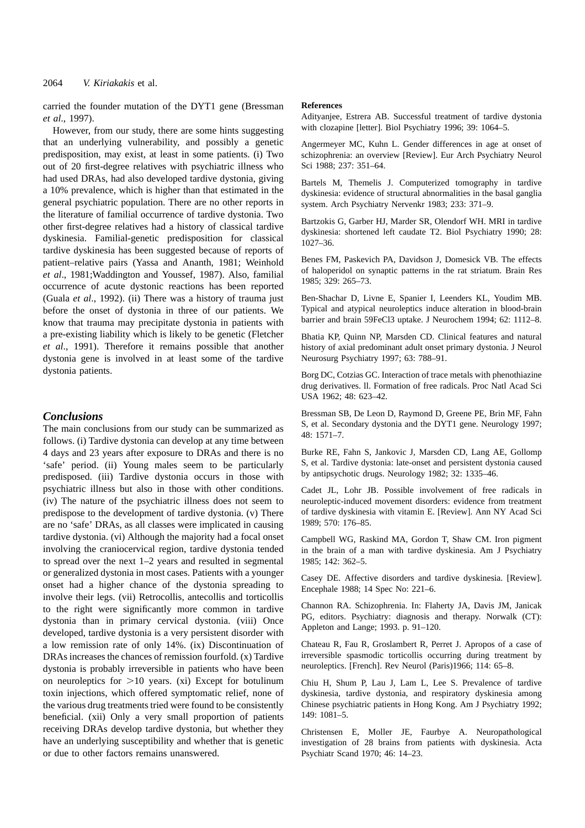carried the founder mutation of the DYT1 gene (Bressman *et al*., 1997).

However, from our study, there are some hints suggesting that an underlying vulnerability, and possibly a genetic predisposition, may exist, at least in some patients. (i) Two out of 20 first-degree relatives with psychiatric illness who had used DRAs, had also developed tardive dystonia, giving a 10% prevalence, which is higher than that estimated in the general psychiatric population. There are no other reports in the literature of familial occurrence of tardive dystonia. Two other first-degree relatives had a history of classical tardive dyskinesia. Familial-genetic predisposition for classical tardive dyskinesia has been suggested because of reports of patient–relative pairs (Yassa and Ananth, 1981; Weinhold *et al*., 1981;Waddington and Youssef, 1987). Also, familial occurrence of acute dystonic reactions has been reported (Guala *et al*., 1992). (ii) There was a history of trauma just before the onset of dystonia in three of our patients. We know that trauma may precipitate dystonia in patients with a pre-existing liability which is likely to be genetic (Fletcher *et al*., 1991). Therefore it remains possible that another dystonia gene is involved in at least some of the tardive dystonia patients.

# *Conclusions*

The main conclusions from our study can be summarized as follows. (i) Tardive dystonia can develop at any time between 4 days and 23 years after exposure to DRAs and there is no 'safe' period. (ii) Young males seem to be particularly predisposed. (iii) Tardive dystonia occurs in those with psychiatric illness but also in those with other conditions. (iv) The nature of the psychiatric illness does not seem to predispose to the development of tardive dystonia. (v) There are no 'safe' DRAs, as all classes were implicated in causing tardive dystonia. (vi) Although the majority had a focal onset involving the craniocervical region, tardive dystonia tended to spread over the next 1–2 years and resulted in segmental or generalized dystonia in most cases. Patients with a younger onset had a higher chance of the dystonia spreading to involve their legs. (vii) Retrocollis, antecollis and torticollis to the right were significantly more common in tardive dystonia than in primary cervical dystonia. (viii) Once developed, tardive dystonia is a very persistent disorder with a low remission rate of only 14%. (ix) Discontinuation of DRAs increases the chances of remission fourfold. (x) Tardive dystonia is probably irreversible in patients who have been on neuroleptics for  $>10$  years. (xi) Except for botulinum toxin injections, which offered symptomatic relief, none of the various drug treatments tried were found to be consistently beneficial. (xii) Only a very small proportion of patients receiving DRAs develop tardive dystonia, but whether they have an underlying susceptibility and whether that is genetic or due to other factors remains unanswered.

#### **References**

Adityanjee, Estrera AB. Successful treatment of tardive dystonia with clozapine [letter]. Biol Psychiatry 1996; 39: 1064–5.

Angermeyer MC, Kuhn L. Gender differences in age at onset of schizophrenia: an overview [Review]. Eur Arch Psychiatry Neurol Sci 1988; 237: 351–64.

Bartels M, Themelis J. Computerized tomography in tardive dyskinesia: evidence of structural abnormalities in the basal ganglia system. Arch Psychiatry Nervenkr 1983; 233: 371–9.

Bartzokis G, Garber HJ, Marder SR, Olendorf WH. MRI in tardive dyskinesia: shortened left caudate T2. Biol Psychiatry 1990; 28: 1027–36.

Benes FM, Paskevich PA, Davidson J, Domesick VB. The effects of haloperidol on synaptic patterns in the rat striatum. Brain Res 1985; 329: 265–73.

Ben-Shachar D, Livne E, Spanier I, Leenders KL, Youdim MB. Typical and atypical neuroleptics induce alteration in blood-brain barrier and brain 59FeCl3 uptake. J Neurochem 1994; 62: 1112–8.

Bhatia KP, Quinn NP, Marsden CD. Clinical features and natural history of axial predominant adult onset primary dystonia. J Neurol Neurosurg Psychiatry 1997; 63: 788–91.

Borg DC, Cotzias GC. Interaction of trace metals with phenothiazine drug derivatives. ll. Formation of free radicals. Proc Natl Acad Sci USA 1962; 48: 623–42.

Bressman SB, De Leon D, Raymond D, Greene PE, Brin MF, Fahn S, et al. Secondary dystonia and the DYT1 gene. Neurology 1997; 48: 1571–7.

Burke RE, Fahn S, Jankovic J, Marsden CD, Lang AE, Gollomp S, et al. Tardive dystonia: late-onset and persistent dystonia caused by antipsychotic drugs. Neurology 1982; 32: 1335–46.

Cadet JL, Lohr JB. Possible involvement of free radicals in neuroleptic-induced movement disorders: evidence from treatment of tardive dyskinesia with vitamin E. [Review]. Ann NY Acad Sci 1989; 570: 176–85.

Campbell WG, Raskind MA, Gordon T, Shaw CM. Iron pigment in the brain of a man with tardive dyskinesia. Am J Psychiatry 1985; 142: 362–5.

Casey DE. Affective disorders and tardive dyskinesia. [Review]. Encephale 1988; 14 Spec No: 221–6.

Channon RA. Schizophrenia. In: Flaherty JA, Davis JM, Janicak PG, editors. Psychiatry: diagnosis and therapy. Norwalk (CT): Appleton and Lange; 1993. p. 91–120.

Chateau R, Fau R, Groslambert R, Perret J. Apropos of a case of irreversible spasmodic torticollis occurring during treatment by neuroleptics. [French]. Rev Neurol (Paris)1966; 114: 65–8.

Chiu H, Shum P, Lau J, Lam L, Lee S. Prevalence of tardive dyskinesia, tardive dystonia, and respiratory dyskinesia among Chinese psychiatric patients in Hong Kong. Am J Psychiatry 1992; 149: 1081–5.

Christensen E, Moller JE, Faurbye A. Neuropathological investigation of 28 brains from patients with dyskinesia. Acta Psychiatr Scand 1970; 46: 14–23.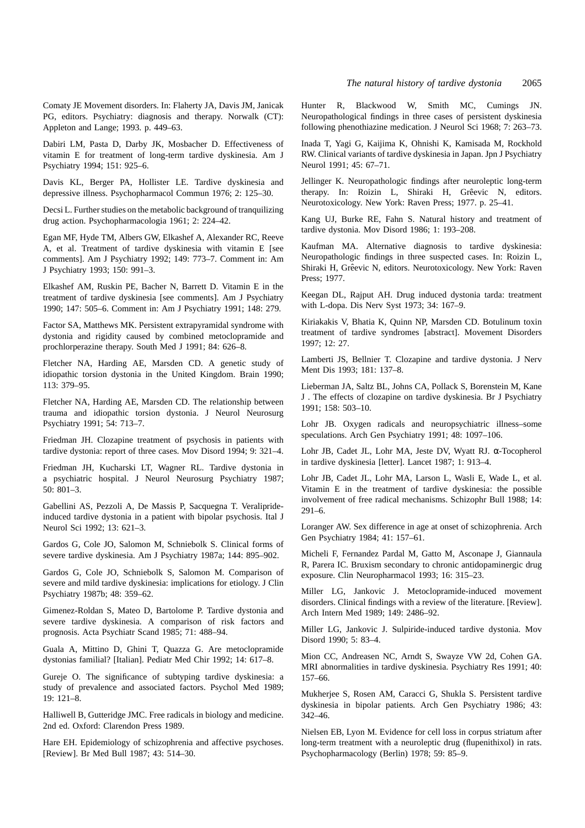Comaty JE Movement disorders. In: Flaherty JA, Davis JM, Janicak PG, editors. Psychiatry: diagnosis and therapy. Norwalk (CT): Appleton and Lange; 1993. p. 449–63.

Dabiri LM, Pasta D, Darby JK, Mosbacher D. Effectiveness of vitamin E for treatment of long-term tardive dyskinesia. Am J Psychiatry 1994; 151: 925–6.

Davis KL, Berger PA, Hollister LE. Tardive dyskinesia and depressive illness. Psychopharmacol Commun 1976; 2: 125–30.

Decsi L. Further studies on the metabolic background of tranquilizing drug action. Psychopharmacologia 1961; 2: 224–42.

Egan MF, Hyde TM, Albers GW, Elkashef A, Alexander RC, Reeve A, et al. Treatment of tardive dyskinesia with vitamin E [see comments]. Am J Psychiatry 1992; 149: 773–7. Comment in: Am J Psychiatry 1993; 150: 991–3.

Elkashef AM, Ruskin PE, Bacher N, Barrett D. Vitamin E in the treatment of tardive dyskinesia [see comments]. Am J Psychiatry 1990; 147: 505–6. Comment in: Am J Psychiatry 1991; 148: 279.

Factor SA, Matthews MK. Persistent extrapyramidal syndrome with dystonia and rigidity caused by combined metoclopramide and prochlorperazine therapy. South Med J 1991; 84: 626–8.

Fletcher NA, Harding AE, Marsden CD. A genetic study of idiopathic torsion dystonia in the United Kingdom. Brain 1990; 113: 379–95.

Fletcher NA, Harding AE, Marsden CD. The relationship between trauma and idiopathic torsion dystonia. J Neurol Neurosurg Psychiatry 1991; 54: 713–7.

Friedman JH. Clozapine treatment of psychosis in patients with tardive dystonia: report of three cases. Mov Disord 1994; 9: 321–4.

Friedman JH, Kucharski LT, Wagner RL. Tardive dystonia in a psychiatric hospital. J Neurol Neurosurg Psychiatry 1987; 50: 801–3.

Gabellini AS, Pezzoli A, De Massis P, Sacquegna T. Veraliprideinduced tardive dystonia in a patient with bipolar psychosis. Ital J Neurol Sci 1992; 13: 621–3.

Gardos G, Cole JO, Salomon M, Schniebolk S. Clinical forms of severe tardive dyskinesia. Am J Psychiatry 1987a; 144: 895–902.

Gardos G, Cole JO, Schniebolk S, Salomon M. Comparison of severe and mild tardive dyskinesia: implications for etiology. J Clin Psychiatry 1987b; 48: 359–62.

Gimenez-Roldan S, Mateo D, Bartolome P. Tardive dystonia and severe tardive dyskinesia. A comparison of risk factors and prognosis. Acta Psychiatr Scand 1985; 71: 488–94.

Guala A, Mittino D, Ghini T, Quazza G. Are metoclopramide dystonias familial? [Italian]. Pediatr Med Chir 1992; 14: 617–8.

Gureje O. The significance of subtyping tardive dyskinesia: a study of prevalence and associated factors. Psychol Med 1989; 19: 121–8.

Halliwell B, Gutteridge JMC. Free radicals in biology and medicine. 2nd ed. Oxford: Clarendon Press 1989.

Hare EH. Epidemiology of schizophrenia and affective psychoses. [Review]. Br Med Bull 1987; 43: 514–30.

Hunter R, Blackwood W, Smith MC, Cumings JN. Neuropathological findings in three cases of persistent dyskinesia following phenothiazine medication. J Neurol Sci 1968; 7: 263–73.

Inada T, Yagi G, Kaijima K, Ohnishi K, Kamisada M, Rockhold RW. Clinical variants of tardive dyskinesia in Japan. Jpn J Psychiatry Neurol 1991; 45: 67–71.

Jellinger K. Neuropathologic findings after neuroleptic long-term therapy. In: Roizin L, Shiraki H, Grêevic N, editors. Neurotoxicology. New York: Raven Press; 1977. p. 25–41.

Kang UJ, Burke RE, Fahn S. Natural history and treatment of tardive dystonia. Mov Disord 1986; 1: 193–208.

Kaufman MA. Alternative diagnosis to tardive dyskinesia: Neuropathologic findings in three suspected cases. In: Roizin L, Shiraki H, Grêevic N, editors. Neurotoxicology. New York: Raven Press; 1977.

Keegan DL, Rajput AH. Drug induced dystonia tarda: treatment with L-dopa. Dis Nerv Syst 1973; 34: 167–9.

Kiriakakis V, Bhatia K, Quinn NP, Marsden CD. Botulinum toxin treatment of tardive syndromes [abstract]. Movement Disorders 1997; 12: 27.

Lamberti JS, Bellnier T. Clozapine and tardive dystonia. J Nerv Ment Dis 1993; 181: 137–8.

Lieberman JA, Saltz BL, Johns CA, Pollack S, Borenstein M, Kane J . The effects of clozapine on tardive dyskinesia. Br J Psychiatry 1991; 158: 503–10.

Lohr JB. Oxygen radicals and neuropsychiatric illness–some speculations. Arch Gen Psychiatry 1991; 48: 1097–106.

Lohr JB, Cadet JL, Lohr MA, Jeste DV, Wyatt RJ. α-Tocopherol in tardive dyskinesia [letter]. Lancet 1987; 1: 913–4.

Lohr JB, Cadet JL, Lohr MA, Larson L, Wasli E, Wade L, et al. Vitamin E in the treatment of tardive dyskinesia: the possible involvement of free radical mechanisms. Schizophr Bull 1988; 14: 291–6.

Loranger AW. Sex difference in age at onset of schizophrenia. Arch Gen Psychiatry 1984; 41: 157–61.

Micheli F, Fernandez Pardal M, Gatto M, Asconape J, Giannaula R, Parera IC. Bruxism secondary to chronic antidopaminergic drug exposure. Clin Neuropharmacol 1993; 16: 315–23.

Miller LG, Jankovic J. Metoclopramide-induced movement disorders. Clinical findings with a review of the literature. [Review]. Arch Intern Med 1989; 149: 2486–92.

Miller LG, Jankovic J. Sulpiride-induced tardive dystonia. Mov Disord 1990; 5: 83–4.

Mion CC, Andreasen NC, Arndt S, Swayze VW 2d, Cohen GA. MRI abnormalities in tardive dyskinesia. Psychiatry Res 1991; 40: 157–66.

Mukherjee S, Rosen AM, Caracci G, Shukla S. Persistent tardive dyskinesia in bipolar patients. Arch Gen Psychiatry 1986; 43: 342–46.

Nielsen EB, Lyon M. Evidence for cell loss in corpus striatum after long-term treatment with a neuroleptic drug (flupenithixol) in rats. Psychopharmacology (Berlin) 1978; 59: 85–9.